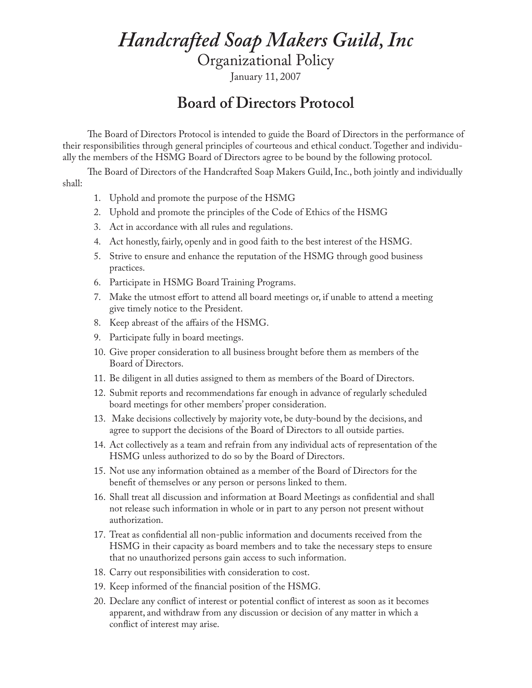## *Handcrafted Soap Makers Guild, Inc*

Organizational Policy

January 11, 2007

## **Board of Directors Protocol**

The Board of Directors Protocol is intended to guide the Board of Directors in the performance of their responsibilities through general principles of courteous and ethical conduct. Together and individually the members of the HSMG Board of Directors agree to be bound by the following protocol.

The Board of Directors of the Handcrafted Soap Makers Guild, Inc., both jointly and individually shall:

- 1. Uphold and promote the purpose of the HSMG
- 2. Uphold and promote the principles of the Code of Ethics of the HSMG
- 3. Act in accordance with all rules and regulations.
- 4. Act honestly, fairly, openly and in good faith to the best interest of the HSMG.
- 5. Strive to ensure and enhance the reputation of the HSMG through good business practices.
- 6. Participate in HSMG Board Training Programs.
- 7. Make the utmost effort to attend all board meetings or, if unable to attend a meeting give timely notice to the President.
- 8. Keep abreast of the affairs of the HSMG.
- 9. Participate fully in board meetings.
- 10. Give proper consideration to all business brought before them as members of the Board of Directors.
- 11. Be diligent in all duties assigned to them as members of the Board of Directors.
- 12. Submit reports and recommendations far enough in advance of regularly scheduled board meetings for other members' proper consideration.
- 13. Make decisions collectively by majority vote, be duty-bound by the decisions, and agree to support the decisions of the Board of Directors to all outside parties.
- 14. Act collectively as a team and refrain from any individual acts of representation of the HSMG unless authorized to do so by the Board of Directors.
- 15. Not use any information obtained as a member of the Board of Directors for the benefit of themselves or any person or persons linked to them.
- 16. Shall treat all discussion and information at Board Meetings as confidential and shall not release such information in whole or in part to any person not present without authorization.
- 17. Treat as confidential all non-public information and documents received from the HSMG in their capacity as board members and to take the necessary steps to ensure that no unauthorized persons gain access to such information.
- 18. Carry out responsibilities with consideration to cost.
- 19. Keep informed of the financial position of the HSMG.
- 20. Declare any conflict of interest or potential conflict of interest as soon as it becomes apparent, and withdraw from any discussion or decision of any matter in which a conflict of interest may arise.